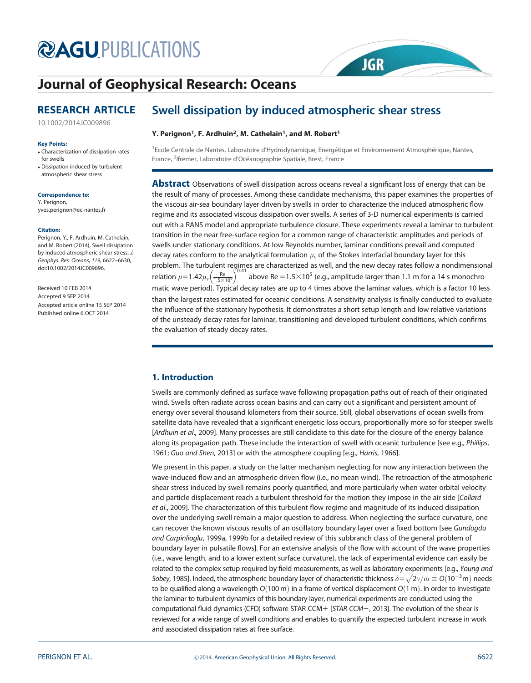# **@AGU[PUBLICATIONS](http://publications.agu.org/)**

# [Journal of Geophysical Research: Oceans](http://onlinelibrary.wiley.com/journal/10.1002/(ISSN)2169-9291/)

### RESEARCH ARTICLE

[10.1002/2014JC009896](http://dx.doi.org/10.1002/2014JC009896)

#### Key Points:

- Characterization of dissipation rates for swells
- Dissipation induced by turbulent atmospheric shear stress

#### Correspondence to:

Y. Perignon, yves.perignon@ec-nantes.fr

#### Citation:

Perignon, Y., F. Ardhuin, M. Cathelain, and M. Robert (2014), Swell dissipation by induced atmospheric shear stress, J. Geophys. Res. Oceans, 119, 6622–6630, doi:10.1002/2014JC009896.

Received 10 FEB 2014 Accepted 9 SEP 2014 Accepted article online 15 SEP 2014 Published online 6 OCT 2014

## Swell dissipation by induced atmospheric shear stress

#### Y. Perignon<sup>1</sup>, F. Ardhuin<sup>2</sup>, M. Cathelain<sup>1</sup>, and M. Robert<sup>1</sup>

<sup>1</sup>Ecole Centrale de Nantes, Laboratoire d'Hydrodynamique, Energétique et Environnement Atmosphérique, Nantes, France, <sup>2</sup>lfremer, Laboratoire d'Océanographie Spatiale, Brest, France

**JGR** 

**Abstract** Observations of swell dissipation across oceans reveal a significant loss of energy that can be the result of many of processes. Among these candidate mechanisms, this paper examines the properties of the viscous air-sea boundary layer driven by swells in order to characterize the induced atmospheric flow regime and its associated viscous dissipation over swells. A series of 3-D numerical experiments is carried out with a RANS model and appropriate turbulence closure. These experiments reveal a laminar to turbulent transition in the near free-surface region for a common range of characteristic amplitudes and periods of swells under stationary conditions. At low Reynolds number, laminar conditions prevail and computed decay rates conform to the analytical formulation  $\mu$ , of the Stokes interfacial boundary layer for this problem. The turbulent regimes are characterized as well, and the new decay rates follow a nondimensional relation  $\mu$ =1.42 $\mu_{\nu} \Bigl( \frac{\text{Re}}{1.5 \times 10^5}$  $\left(\frac{Re}{1.5\times10^5}\right)^{0.41}$  above Re = 1.5×10<sup>5</sup> (e.g., amplitude larger than 1.1 m for a 14 s monochromatic wave period). Typical decay rates are up to 4 times above the laminar values, which is a factor 10 less than the largest rates estimated for oceanic conditions. A sensitivity analysis is finally conducted to evaluate the influence of the stationary hypothesis. It demonstrates a short setup length and low relative variations of the unsteady decay rates for laminar, transitioning and developed turbulent conditions, which confirms the evaluation of steady decay rates.

#### 1. Introduction

Swells are commonly defined as surface wave following propagation paths out of reach of their originated wind. Swells often radiate across ocean basins and can carry out a significant and persistent amount of energy over several thousand kilometers from their source. Still, global observations of ocean swells from satellite data have revealed that a significant energetic loss occurs, proportionally more so for steeper swells [Ardhuin et al., 2009]. Many processes are still candidate to this date for the closure of the energy balance along its propagation path. These include the interaction of swell with oceanic turbulence [see e.g., Phillips, 1961; Guo and Shen, 2013] or with the atmosphere coupling [e.g., Harris, 1966].

We present in this paper, a study on the latter mechanism neglecting for now any interaction between the wave-induced flow and an atmospheric-driven flow (i.e., no mean wind). The retroaction of the atmospheric shear stress induced by swell remains poorly quantified, and more particularly when water orbital velocity and particle displacement reach a turbulent threshold for the motion they impose in the air side [Collard] et al., 2009]. The characterization of this turbulent flow regime and magnitude of its induced dissipation over the underlying swell remain a major question to address. When neglecting the surface curvature, one can recover the known viscous results of an oscillatory boundary layer over a fixed bottom [see Gundogdu and Carpinlioglu, 1999a, 1999b for a detailed review of this subbranch class of the general problem of boundary layer in pulsatile flows]. For an extensive analysis of the flow with account of the wave properties (i.e., wave length, and to a lower extent surface curvature), the lack of experimental evidence can easily be related to the complex setup required by field measurements, as well as laboratory experiments [e.g., Young and Sobey, 1985]. Indeed, the atmospheric boundary layer of characteristic thickness  $\delta = \sqrt{2v/\omega} \equiv O(10^{-3} \text{m})$  needs to be qualified along a wavelength  $O(100 \text{ m})$  in a frame of vertical displacement  $O(1 \text{ m})$ . In order to investigate the laminar to turbulent dynamics of this boundary layer, numerical experiments are conducted using the computational fluid dynamics (CFD) software STAR-CCM+ [STAR-CCM+, 2013]. The evolution of the shear is reviewed for a wide range of swell conditions and enables to quantify the expected turbulent increase in work and associated dissipation rates at free surface.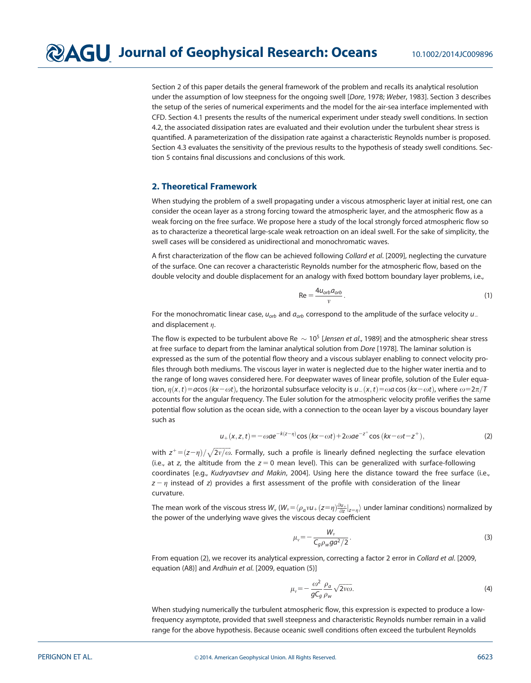Section 2 of this paper details the general framework of the problem and recalls its analytical resolution under the assumption of low steepness for the ongoing swell [Dore, 1978; Weber, 1983]. Section 3 describes the setup of the series of numerical experiments and the model for the air-sea interface implemented with CFD. Section 4.1 presents the results of the numerical experiment under steady swell conditions. In section 4.2, the associated dissipation rates are evaluated and their evolution under the turbulent shear stress is quantified. A parameterization of the dissipation rate against a characteristic Reynolds number is proposed. Section 4.3 evaluates the sensitivity of the previous results to the hypothesis of steady swell conditions. Section 5 contains final discussions and conclusions of this work.

#### 2. Theoretical Framework

When studying the problem of a swell propagating under a viscous atmospheric layer at initial rest, one can consider the ocean layer as a strong forcing toward the atmospheric layer, and the atmospheric flow as a weak forcing on the free surface. We propose here a study of the local strongly forced atmospheric flow so as to characterize a theoretical large-scale weak retroaction on an ideal swell. For the sake of simplicity, the swell cases will be considered as unidirectional and monochromatic waves.

A first characterization of the flow can be achieved following Collard et al. [2009], neglecting the curvature of the surface. One can recover a characteristic Reynolds number for the atmospheric flow, based on the double velocity and double displacement for an analogy with fixed bottom boundary layer problems, i.e.,

$$
\text{Re} = \frac{4u_{orb}a_{orb}}{v} \,.
$$

For the monochromatic linear case,  $u_{orb}$  and  $a_{orb}$  correspond to the amplitude of the surface velocity  $u_{-}$ and displacement  $\eta$ .

The flow is expected to be turbulent above Re  $\sim 10^5$  [Jensen et al., 1989] and the atmospheric shear stress at free surface to depart from the laminar analytical solution from Dore [1978]. The laminar solution is expressed as the sum of the potential flow theory and a viscous sublayer enabling to connect velocity profiles through both mediums. The viscous layer in water is neglected due to the higher water inertia and to the range of long waves considered here. For deepwater waves of linear profile, solution of the Euler equation,  $\eta(x, t) = a\cos(kx-\omega t)$ , the horizontal subsurface velocity is  $u_-(x, t) = \omega a \cos(kx-\omega t)$ , where  $\omega = 2\pi/T$ accounts for the angular frequency. The Euler solution for the atmospheric velocity profile verifies the same potential flow solution as the ocean side, with a connection to the ocean layer by a viscous boundary layer such as

$$
u_{+}(x, z, t) = -\omega a e^{-k(z-\eta)} \cos(kx-\omega t) + 2\omega a e^{-z^{+}} \cos(kx-\omega t - z^{+}),
$$
\n(2)

with  $z^+ \!=\! (z\!-\!\eta)/\sqrt{2v/\omega}.$  Formally, such a profile is linearly defined neglecting the surface elevation (i.e., at z, the altitude from the  $z = 0$  mean level). This can be generalized with surface-following coordinates [e.g., Kudryavtsev and Makin, 2004]. Using here the distance toward the free surface (i.e.,  $z - \eta$  instead of z) provides a first assessment of the profile with consideration of the linear curvature.

The mean work of the viscous stress  $W_v$  ( $W_v{=} \langle \rho_a vu_+(z=\eta)\frac{\partial u_+}{\partial z}|_{z=\eta}\rangle$  under laminar conditions) normalized by the power of the underlying wave gives the viscous decay coefficient

$$
\mu_v = -\frac{W_v}{C_g \rho_w g a^2/2}.
$$
\n(3)

From equation (2), we recover its analytical expression, correcting a factor 2 error in Collard et al. [2009, equation (A8)] and Ardhuin et al. [2009, equation (5)]

$$
\mu_{\nu} = -\frac{\omega^2}{gC_g} \frac{\rho_a}{\rho_w} \sqrt{2\nu\omega}.
$$
\n(4)

When studying numerically the turbulent atmospheric flow, this expression is expected to produce a lowfrequency asymptote, provided that swell steepness and characteristic Reynolds number remain in a valid range for the above hypothesis. Because oceanic swell conditions often exceed the turbulent Reynolds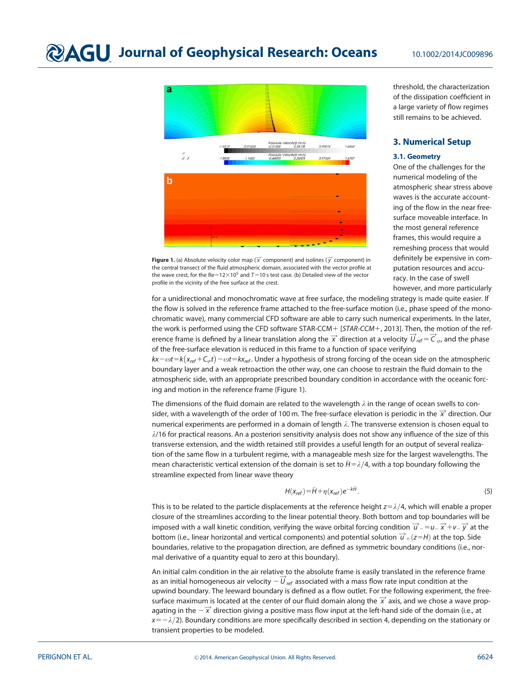# **QAGU** Journal of Geophysical Research: Oceans 10.1002/2014JC009896



**Figure 1.** (a) Absolute velocity color map ( $\vec{x}$  component) and isolines ( $\vec{y}$  component) in the central transect of the fluid atmospheric domain, associated with the vector profile at the wave crest, for the Re=12 $\times$ 10<sup>5</sup> and T=10 s test case. (b) Detailed view of the vector profile in the vicinity of the free surface at the crest.

threshold, the characterization of the dissipation coefficient in a large variety of flow regimes still remains to be achieved.

### 3. Numerical Setup

#### 3.1. Geometry

One of the challenges for the numerical modeling of the atmospheric shear stress above waves is the accurate accounting of the flow in the near freesurface moveable interface. In the most general reference frames, this would require a remeshing process that would definitely be expensive in computation resources and accuracy. In the case of swell however, and more particularly

for a unidirectional and monochromatic wave at free surface, the modeling strategy is made quite easier. If the flow is solved in the reference frame attached to the free-surface motion (i.e., phase speed of the monochromatic wave), many commercial CFD software are able to carry such numerical experiments. In the later, the work is performed using the CFD software STAR-CCM+ [STAR-CCM+, 2013]. Then, the motion of the reference frame is defined by a linear translation along the  $\vec{x}$  direction at a velocity  $\vec{U}_{ref} = \vec{C}_{\varphi}$ , and the phase of the free-surface elevation is reduced in this frame to a function of space verifying

 $kx-\omega t$  =  $k(x_{ref}+C_{\omega}t)$  –  $\omega t$  =  $kx_{ref}$ . Under a hypothesis of strong forcing of the ocean side on the atmospheric boundary layer and a weak retroaction the other way, one can choose to restrain the fluid domain to the atmospheric side, with an appropriate prescribed boundary condition in accordance with the oceanic forcing and motion in the reference frame (Figure 1).

The dimensions of the fluid domain are related to the wavelength  $\lambda$  in the range of ocean swells to consider, with a wavelength of the order of 100 m. The free-surface elevation is periodic in the  $\overrightarrow{x}$  direction. Our numerical experiments are performed in a domain of length  $\lambda$ . The transverse extension is chosen equal to  $\lambda$ /16 for practical reasons. An a posteriori sensitivity analysis does not show any influence of the size of this transverse extension, and the width retained still provides a useful length for an output of several realization of the same flow in a turbulent regime, with a manageable mesh size for the largest wavelengths. The mean characteristic vertical extension of the domain is set to  $\bar{H}=\lambda/4$ , with a top boundary following the streamline expected from linear wave theory

$$
H(x_{ref}) = \bar{H} + \eta(x_{ref})e^{-k\bar{H}}.\tag{5}
$$

This is to be related to the particle displacements at the reference height  $z=\lambda/4$ , which will enable a proper closure of the streamlines according to the linear potential theory. Both bottom and top boundaries will be imposed with a wall kinetic condition, verifying the wave orbital forcing condition  $\overrightarrow{u} = u - \overrightarrow{x} + v - \overrightarrow{y}$  at the bottom (i.e., linear horizontal and vertical components) and potential solution  $\overrightarrow{u}_+(z=H)$  at the top. Side boundaries, relative to the propagation direction, are defined as symmetric boundary conditions (i.e., normal derivative of a quantity equal to zero at this boundary).

An initial calm condition in the air relative to the absolute frame is easily translated in the reference frame as an initial homogeneous air velocity  $-\vec{U}$ <sub>ref</sub> associated with a mass flow rate input condition at the set of the set of  $\vec{U}$ <sub>ref</sub> associated with a mass flow rate input condition at the upwind boundary. The leeward boundary is defined as a flow outlet. For the following experiment, the freesurface maximum is located at the center of our fluid domain along the  $\overrightarrow{x}$  axis, and we chose a wave propagating in the  $-\vec{x}$  direction giving a positive mass flow input at the left-hand side of the domain (i.e., at  $x=-\lambda/2$ ). Boundary conditions are more specifically described in section 4, depending on the stationary or transient properties to be modeled.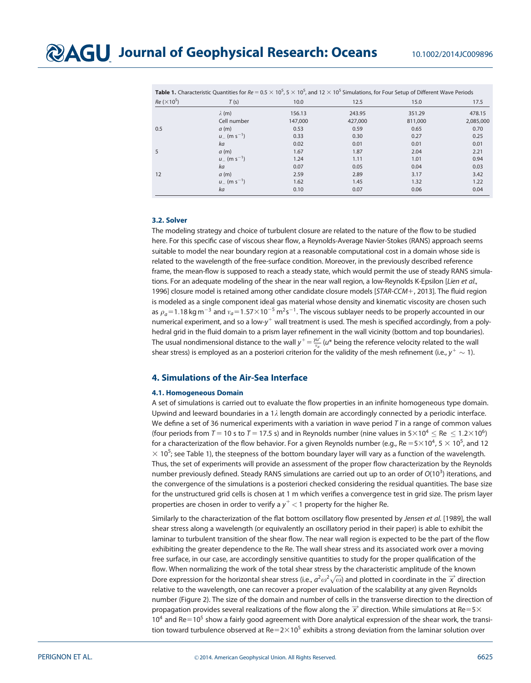Table 1. Characteristic Quantities for Re = 0.5  $\times$  10<sup>5</sup>, 5  $\times$  10<sup>5</sup>, and 12  $\times$  10<sup>5</sup> Simulations, for Four Setup of Different Wave Periods

| $Re (×10^5)$ | T(s)                         | 10.0    | 12.5    | 15.0    | 17.5      |
|--------------|------------------------------|---------|---------|---------|-----------|
|              | $\lambda$ (m)                | 156.13  | 243.95  | 351.29  | 478.15    |
|              | Cell number                  | 147,000 | 427,000 | 811,000 | 2,085,000 |
| 0.5          | a(m)                         | 0.53    | 0.59    | 0.65    | 0.70      |
|              | $u_{-}$ (m s <sup>-1</sup> ) | 0.33    | 0.30    | 0.27    | 0.25      |
|              | ka                           | 0.02    | 0.01    | 0.01    | 0.01      |
| 5            | a(m)                         | 1.67    | 1.87    | 2.04    | 2.21      |
|              | $u = (m s^{-1})$             | 1.24    | 1.11    | 1.01    | 0.94      |
|              | ka                           | 0.07    | 0.05    | 0.04    | 0.03      |
| 12           | a(m)                         | 2.59    | 2.89    | 3.17    | 3.42      |
|              | $u = (m s^{-1})$             | 1.62    | 1.45    | 1.32    | 1.22      |
|              | ka                           | 0.10    | 0.07    | 0.06    | 0.04      |

#### 3.2. Solver

The modeling strategy and choice of turbulent closure are related to the nature of the flow to be studied here. For this specific case of viscous shear flow, a Reynolds-Average Navier-Stokes (RANS) approach seems suitable to model the near boundary region at a reasonable computational cost in a domain whose side is related to the wavelength of the free-surface condition. Moreover, in the previously described reference frame, the mean-flow is supposed to reach a steady state, which would permit the use of steady RANS simulations. For an adequate modeling of the shear in the near wall region, a low-Reynolds K-Epsilon [Lien et al., 1996] closure model is retained among other candidate closure models [STAR-CCM+, 2013]. The fluid region is modeled as a single component ideal gas material whose density and kinematic viscosity are chosen such as  $\rho_a$ =1.18 kg m<sup>-3</sup> and  $v_a$ =1.57 $\times$ 10<sup>-5</sup> m<sup>2</sup>s<sup>-1</sup>. The viscous sublayer needs to be properly accounted in our numerical experiment, and so a low-y $^+$  wall treatment is used. The mesh is specified accordingly, from a polyhedral grid in the fluid domain to a prism layer refinement in the wall vicinity (bottom and top boundaries). The usual nondimensional distance to the wall  $y^+=\frac{yu^*}{v_a}$  ( $u^*$  being the reference velocity related to the wall shear stress) is employed as an a posteriori criterion for the validity of the mesh refinement (i.e.,  $y^+ \sim$  1).

#### 4. Simulations of the Air-Sea Interface

#### 4.1. Homogeneous Domain

A set of simulations is carried out to evaluate the flow properties in an infinite homogeneous type domain. Upwind and leeward boundaries in a  $1\lambda$  length domain are accordingly connected by a periodic interface. We define a set of 36 numerical experiments with a variation in wave period  $T$  in a range of common values (four periods from T = 10 s to T = 17.5 s) and in Reynolds number (nine values in  $5\times10^4 \le$  Re  $\le 1.2\times10^6$ ) for a characterization of the flow behavior. For a given Reynolds number (e.g., Re  $=$  5 $\times$  10 $^4$ , 5  $\times$  10 $^5$ , and 12  $\times$  10<sup>5</sup>; see Table 1), the steepness of the bottom boundary layer will vary as a function of the wavelength. Thus, the set of experiments will provide an assessment of the proper flow characterization by the Reynolds number previously defined. Steady RANS simulations are carried out up to an order of  $O(10^3)$  iterations, and the convergence of the simulations is a posteriori checked considering the residual quantities. The base size for the unstructured grid cells is chosen at 1 m which verifies a convergence test in grid size. The prism layer properties are chosen in order to verify a  $y^+$   $<$  1 property for the higher Re.

Similarly to the characterization of the flat bottom oscillatory flow presented by Jensen et al. [1989], the wall shear stress along a wavelength (or equivalently an oscillatory period in their paper) is able to exhibit the laminar to turbulent transition of the shear flow. The near wall region is expected to be the part of the flow exhibiting the greater dependence to the Re. The wall shear stress and its associated work over a moving free surface, in our case, are accordingly sensitive quantities to study for the proper qualification of the flow. When normalizing the work of the total shear stress by the characteristic amplitude of the known Dore expression for the horizontal shear stress (i.e.,  $a^2\omega^2\sqrt{\omega}$ ) and plotted in coordinate in the  $\vec{x}$  direction relative to the wavelength, one can recover a proper evaluation of the scalability at any given Reynolds number (Figure 2). The size of the domain and number of cells in the transverse direction to the direction of propagation provides several realizations of the flow along the  $\vec{x}$  direction. While simulations at Re=5 $\times$  $10<sup>4</sup>$  and Re=10<sup>5</sup> show a fairly good agreement with Dore analytical expression of the shear work, the transition toward turbulence observed at  $Re=2\times10^5$  exhibits a strong deviation from the laminar solution over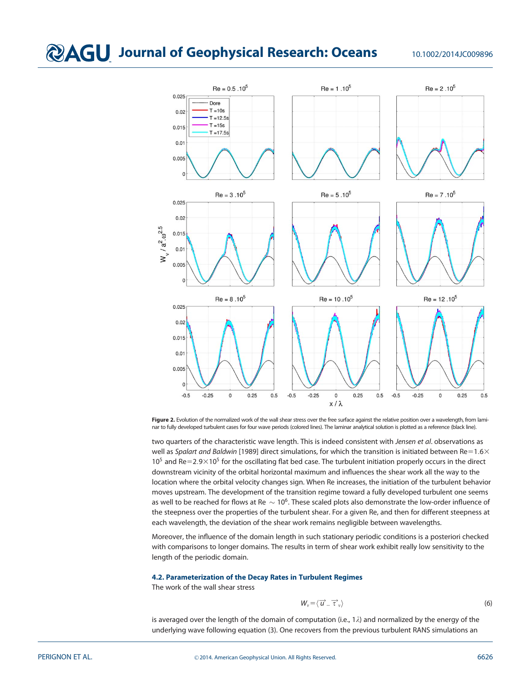

Figure 2. Evolution of the normalized work of the wall shear stress over the free surface against the relative position over a wavelength, from laminar to fully developed turbulent cases for four wave periods (colored lines). The laminar analytical solution is plotted as a reference (black line).

two quarters of the characteristic wave length. This is indeed consistent with Jensen et al. observations as well as Spalart and Baldwin [1989] direct simulations, for which the transition is initiated between Re=1.6 $\times$ 10<sup>5</sup> and Re=2.9 $\times$ 10<sup>5</sup> for the oscillating flat bed case. The turbulent initiation properly occurs in the direct downstream vicinity of the orbital horizontal maximum and influences the shear work all the way to the location where the orbital velocity changes sign. When Re increases, the initiation of the turbulent behavior moves upstream. The development of the transition regime toward a fully developed turbulent one seems as well to be reached for flows at Re  $\sim 10^6$ . These scaled plots also demonstrate the low-order influence of the steepness over the properties of the turbulent shear. For a given Re, and then for different steepness at each wavelength, the deviation of the shear work remains negligible between wavelengths.

Moreover, the influence of the domain length in such stationary periodic conditions is a posteriori checked with comparisons to longer domains. The results in term of shear work exhibit really low sensitivity to the length of the periodic domain.

#### 4.2. Parameterization of the Decay Rates in Turbulent Regimes

The work of the wall shear stress

$$
W_{\nu} = \langle \overrightarrow{u} - \overrightarrow{\tau}_{\nu} \rangle \tag{6}
$$

is averaged over the length of the domain of computation (i.e.,  $1\lambda$ ) and normalized by the energy of the underlying wave following equation (3). One recovers from the previous turbulent RANS simulations an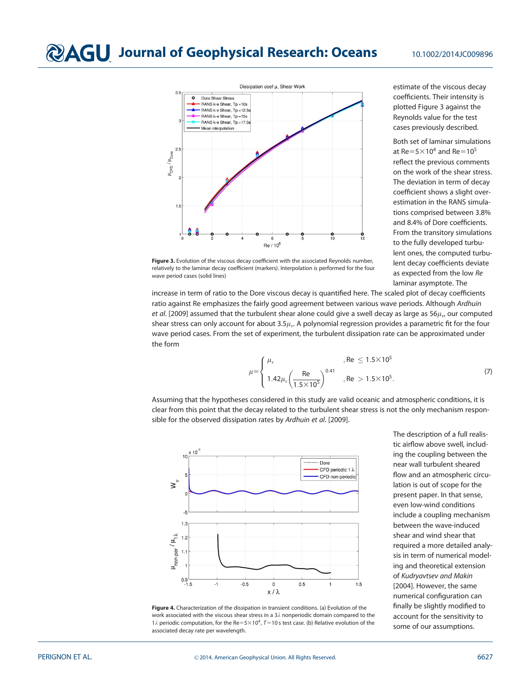

estimate of the viscous decay coefficients. Their intensity is plotted Figure 3 against the Reynolds value for the test cases previously described.

Both set of laminar simulations at Re= $5\times10^4$  and Re= $10^5$ reflect the previous comments on the work of the shear stress. The deviation in term of decay coefficient shows a slight overestimation in the RANS simulations comprised between 3.8% and 8.4% of Dore coefficients. From the transitory simulations to the fully developed turbulent ones, the computed turbulent decay coefficients deviate as expected from the low Re laminar asymptote. The

Figure 3. Evolution of the viscous decay coefficient with the associated Reynolds number, relatively to the laminar decay coefficient (markers). Interpolation is performed for the four wave period cases (solid lines)

increase in term of ratio to the Dore viscous decay is quantified here. The scaled plot of decay coefficients ratio against Re emphasizes the fairly good agreement between various wave periods. Although Ardhuin et al. [2009] assumed that the turbulent shear alone could give a swell decay as large as  $56\mu_w$  our computed shear stress can only account for about  $3.5\mu$ . A polynomial regression provides a parametric fit for the four wave period cases. From the set of experiment, the turbulent dissipation rate can be approximated under the form

$$
\mu = \begin{cases} \mu_{\nu} & , \text{Re} \leq 1.5 \times 10^5 \\ 1.42 \mu_{\nu} \left( \frac{\text{Re}}{1.5 \times 10^5} \right)^{0.41} & , \text{Re} > 1.5 \times 10^5. \end{cases}
$$
(7)

Assuming that the hypotheses considered in this study are valid oceanic and atmospheric conditions, it is clear from this point that the decay related to the turbulent shear stress is not the only mechanism responsible for the observed dissipation rates by Ardhuin et al. [2009].



The description of a full realistic airflow above swell, including the coupling between the near wall turbulent sheared flow and an atmospheric circulation is out of scope for the present paper. In that sense, even low-wind conditions include a coupling mechanism between the wave-induced shear and wind shear that required a more detailed analysis in term of numerical modeling and theoretical extension of Kudryavtsev and Makin [2004]. However, the same numerical configuration can finally be slightly modified to account for the sensitivity to some of our assumptions.

Figure 4. Characterization of the dissipation in transient conditions. (a) Evolution of the work associated with the viscous shear stress in a  $3\lambda$  nonperiodic domain compared to the 1 $\lambda$  periodic computation, for the Re=5 $\times$ 10<sup>4</sup>, T=10 s test case. (b) Relative evolution of the associated decay rate per wavelength.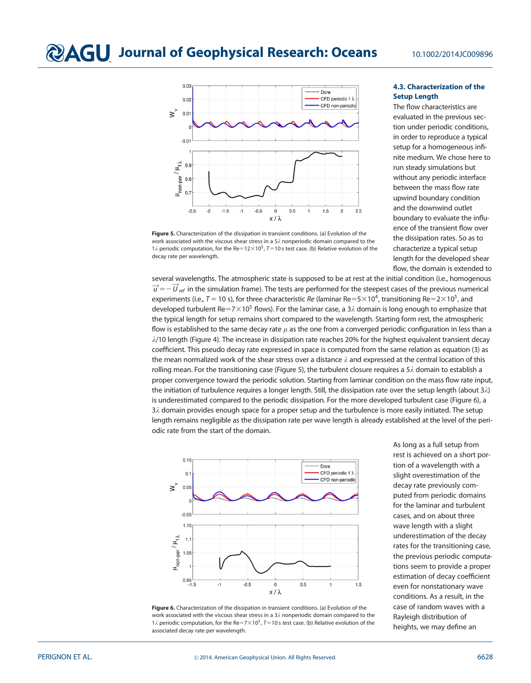

#### 4.3. Characterization of the Setup Length

The flow characteristics are evaluated in the previous section under periodic conditions, in order to reproduce a typical setup for a homogeneous infinite medium. We chose here to run steady simulations but without any periodic interface between the mass flow rate upwind boundary condition and the downwind outlet boundary to evaluate the influence of the transient flow over the dissipation rates. So as to characterize a typical setup length for the developed shear flow, the domain is extended to

Figure 5. Characterization of the dissipation in transient conditions. (a) Evolution of the work associated with the viscous shear stress in a  $5\lambda$  nonperiodic domain compared to the 1 $\lambda$  periodic computation, for the Re=12 $\times$ 10<sup>5</sup>, T=10 s test case. (b) Relative evolution of the decay rate per wavelength.

several wavelengths. The atmospheric state is supposed to be at rest at the initial condition (i.e., homogenous  $\vec{u} = -\vec{U}_{ref}$  in the simulation frame). The tests are performed for the steepest cases of the previous numerical experiments (i.e.,  $T = 10$  s), for three characteristic Re (laminar Re $= 5 \times 10^4$ , transitioning Re $= 2 \times 10^5$ , and developed turbulent Re=7 $\times$ 10<sup>5</sup> flows). For the laminar case, a 3 $\lambda$  domain is long enough to emphasize that the typical length for setup remains short compared to the wavelength. Starting form rest, the atmospheric flow is established to the same decay rate  $\mu$  as the one from a converged periodic configuration in less than a  $\lambda$ /10 length (Figure 4). The increase in dissipation rate reaches 20% for the highest equivalent transient decay coefficient. This pseudo decay rate expressed in space is computed from the same relation as equation (3) as the mean normalized work of the shear stress over a distance  $\lambda$  and expressed at the central location of this rolling mean. For the transitioning case (Figure 5), the turbulent closure requires a 5 $\lambda$  domain to establish a proper convergence toward the periodic solution. Starting from laminar condition on the mass flow rate input, the initiation of turbulence requires a longer length. Still, the dissipation rate over the setup length (about 3 $\lambda$ ) is underestimated compared to the periodic dissipation. For the more developed turbulent case (Figure 6), a 3k domain provides enough space for a proper setup and the turbulence is more easily initiated. The setup length remains negligible as the dissipation rate per wave length is already established at the level of the periodic rate from the start of the domain.



As long as a full setup from rest is achieved on a short portion of a wavelength with a slight overestimation of the decay rate previously computed from periodic domains for the laminar and turbulent cases, and on about three wave length with a slight underestimation of the decay rates for the transitioning case, the previous periodic computations seem to provide a proper estimation of decay coefficient even for nonstationary wave conditions. As a result, in the case of random waves with a Rayleigh distribution of heights, we may define an

Figure 6. Characterization of the dissipation in transient conditions. (a) Evolution of the work associated with the viscous shear stress in a  $3\lambda$  nonperiodic domain compared to the 1 $\lambda$  periodic computation, for the Re=7 $\times$ 10<sup>5</sup>, T=10 s test case. (b) Relative evolution of the associated decay rate per wavelength.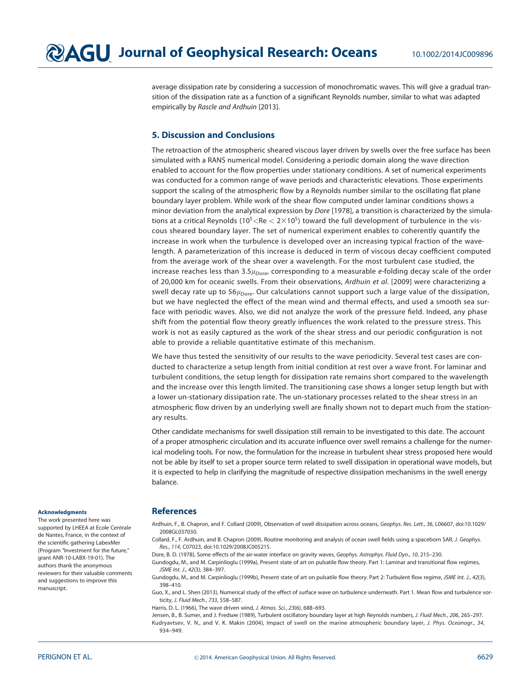average dissipation rate by considering a succession of monochromatic waves. This will give a gradual transition of the dissipation rate as a function of a significant Reynolds number, similar to what was adapted empirically by Rascle and Ardhuin [2013].

### 5. Discussion and Conclusions

The retroaction of the atmospheric sheared viscous layer driven by swells over the free surface has been simulated with a RANS numerical model. Considering a periodic domain along the wave direction enabled to account for the flow properties under stationary conditions. A set of numerical experiments was conducted for a common range of wave periods and characteristic elevations. Those experiments support the scaling of the atmospheric flow by a Reynolds number similar to the oscillating flat plane boundary layer problem. While work of the shear flow computed under laminar conditions shows a minor deviation from the analytical expression by Dore [1978], a transition is characterized by the simulations at a critical Reynolds (10<sup>5</sup> < Re <  $2\times10^5$ ) toward the full development of turbulence in the viscous sheared boundary layer. The set of numerical experiment enables to coherently quantify the increase in work when the turbulence is developed over an increasing typical fraction of the wavelength. A parameterization of this increase is deduced in term of viscous decay coefficient computed from the average work of the shear over a wavelength. For the most turbulent case studied, the increase reaches less than  $3.5\mu_{Dore}$ , corresponding to a measurable e-folding decay scale of the order of 20,000 km for oceanic swells. From their observations, Ardhuin et al. [2009] were characterizing a swell decay rate up to  $56\mu_{Dore}$ . Our calculations cannot support such a large value of the dissipation, but we have neglected the effect of the mean wind and thermal effects, and used a smooth sea surface with periodic waves. Also, we did not analyze the work of the pressure field. Indeed, any phase shift from the potential flow theory greatly influences the work related to the pressure stress. This work is not as easily captured as the work of the shear stress and our periodic configuration is not able to provide a reliable quantitative estimate of this mechanism.

We have thus tested the sensitivity of our results to the wave periodicity. Several test cases are conducted to characterize a setup length from initial condition at rest over a wave front. For laminar and turbulent conditions, the setup length for dissipation rate remains short compared to the wavelength and the increase over this length limited. The transitioning case shows a longer setup length but with a lower un-stationary dissipation rate. The un-stationary processes related to the shear stress in an atmospheric flow driven by an underlying swell are finally shown not to depart much from the stationary results.

Other candidate mechanisms for swell dissipation still remain to be investigated to this date. The account of a proper atmospheric circulation and its accurate influence over swell remains a challenge for the numerical modeling tools. For now, the formulation for the increase in turbulent shear stress proposed here would not be able by itself to set a proper source term related to swell dissipation in operational wave models, but it is expected to help in clarifying the magnitude of respective dissipation mechanisms in the swell energy balance.

#### Acknowledgments

The work presented here was supported by LHEEA at Ecole Centrale de Nantes, France, in the context of the scientific gathering LabexMer (Program ''Investment for the future,'' grant ANR-10-LABX-19-01). The authors thank the anonymous reviewers for their valuable comments and suggestions to improve this manuscript.

#### **References**

Ardhuin, F., B. Chapron, and F. Collard (2009), Observation of swell dissipation across oceans, Geophys. Res. Lett., 36, L06607, doi[:10.1029/](http://dx.doi.org/10.1029/2008GL037030) [2008GL037030.](http://dx.doi.org/10.1029/2008GL037030)

Collard, F., F. Ardhuin, and B. Chapron (2009), Routine monitoring and analysis of ocean swell fields using a spaceborn SAR, J. Geophys. Res., 114, C07023, doi:[10.1029/2008JC005215](http://dx.doi.org/10.1029/2008JC005215).

Dore, B. D. (1978), Some effects of the air-water interface on gravity waves, Geophys. Astrophys. Fluid Dyn., 10, 215–230.

Gundogdu, M., and M. Carpinlioglu (1999a), Present state of art on pulsatile flow theory. Part 1: Laminar and transitional flow regimes, JSME Int. J., 42(3), 384–397.

Gundogdu, M., and M. Carpinlioglu (1999b), Present state of art on pulsatile flow theory. Part 2: Turbulent flow regime, JSME Int. J., 42(3), 398–410.

Guo, X., and L. Shen (2013), Numerical study of the effect of surface wave on turbulence underneath. Part 1. Mean flow and turbulence vorticity, J. Fluid Mech., 733, 558–587.

Harris, D. L. (1966), The wave driven wind, J. Atmos. Sci., 23(6), 688–693.

Jensen, B., B. Sumer, and J. Fredsøe (1989), Turbulent oscillatory boundary layer at high Reynolds numbers, J. Fluid Mech., 206, 265–297. Kudryavtsev, V. N., and V. K. Makin (2004), Impact of swell on the marine atmospheric boundary layer, J. Phys. Oceanogr., 34, 934–949.